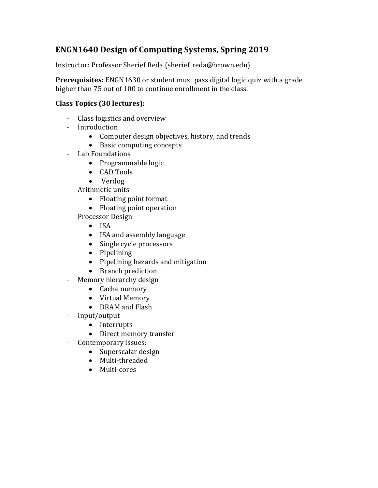## **ENGN1640 Design of Computing Systems, Spring 2019**

Instructor: Professor Sherief Reda (sherief\_reda@brown.edu)

**Prerequisites:** ENGN1630 or student must pass digital logic quiz with a grade higher than 75 out of 100 to continue enrollment in the class.

## **Class Topics (30 lectures):**

- Class logistics and overview
- Introduction
	- Computer design objectives, history, and trends
	- Basic computing concepts
- Lab Foundations
	- Programmable logic
	- CAD Tools
	- Verilog
- Arithmetic units
	- Floating point format
	- Floating point operation
- Processor Design
	- ISA
	- ISA and assembly language
	- Single cycle processors
	- Pipelining
	- Pipelining hazards and mitigation
	- Branch prediction
- Memory hierarchy design
	- Cache memory
	- Virtual Memory
	- DRAM and Flash
- Input/output
	- Interrupts
	- Direct memory transfer
- Contemporary issues:
	- Superscalar design
	- Multi-threaded
	- Multi-cores